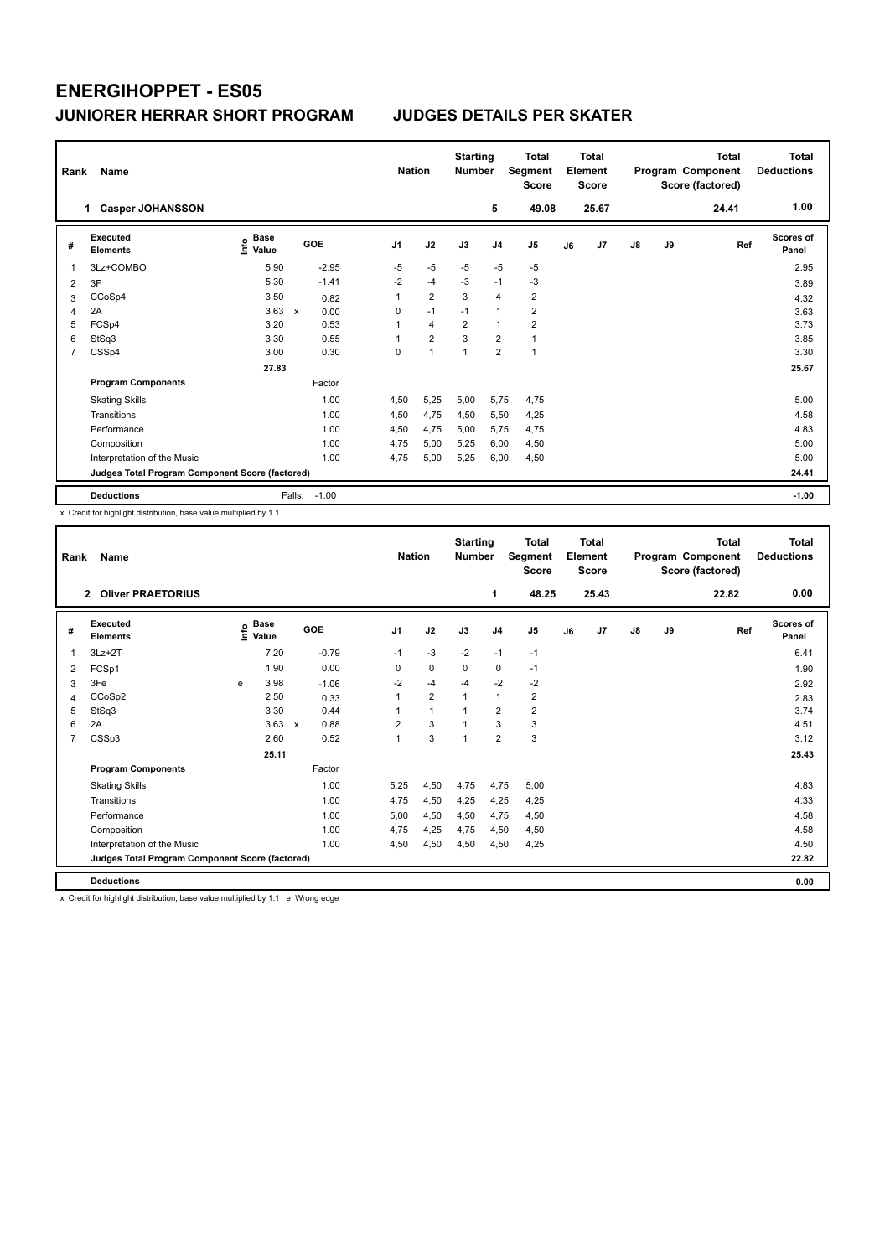| Rank | Name                                            |                                  |                      |                | <b>Nation</b>  | <b>Starting</b><br><b>Number</b> |                         | <b>Total</b><br>Segment<br><b>Score</b> |    | <b>Total</b><br>Element<br><b>Score</b> |               |    | <b>Total</b><br>Program Component<br>Score (factored) | Total<br><b>Deductions</b> |
|------|-------------------------------------------------|----------------------------------|----------------------|----------------|----------------|----------------------------------|-------------------------|-----------------------------------------|----|-----------------------------------------|---------------|----|-------------------------------------------------------|----------------------------|
|      | <b>Casper JOHANSSON</b><br>1.                   |                                  |                      |                |                |                                  | 5                       | 49.08                                   |    | 25.67                                   |               |    | 24.41                                                 | 1.00                       |
| #    | <b>Executed</b><br><b>Elements</b>              | <b>Base</b><br>e Base<br>⊆ Value | <b>GOE</b>           | J <sub>1</sub> | J2             | J3                               | J <sub>4</sub>          | J5                                      | J6 | J7                                      | $\mathsf{J}8$ | J9 | Ref                                                   | <b>Scores of</b><br>Panel  |
| 1    | 3Lz+COMBO                                       | 5.90                             | $-2.95$              | $-5$           | $-5$           | $-5$                             | $-5$                    | $-5$                                    |    |                                         |               |    |                                                       | 2.95                       |
| 2    | 3F                                              | 5.30                             | $-1.41$              | $-2$           | $-4$           | $-3$                             | $-1$                    | $-3$                                    |    |                                         |               |    |                                                       | 3.89                       |
| 3    | CCoSp4                                          | 3.50                             | 0.82                 | 1              | $\overline{2}$ | 3                                | $\overline{4}$          | $\overline{2}$                          |    |                                         |               |    |                                                       | 4.32                       |
| 4    | 2A                                              | 3.63                             | $\mathsf{x}$<br>0.00 | 0              | $-1$           | $-1$                             | $\overline{1}$          | $\overline{2}$                          |    |                                         |               |    |                                                       | 3.63                       |
| 5    | FCSp4                                           | 3.20                             | 0.53                 | 1              | $\overline{4}$ | $\overline{\mathbf{c}}$          | $\overline{1}$          | $\overline{2}$                          |    |                                         |               |    |                                                       | 3.73                       |
| 6    | StSq3                                           | 3.30                             | 0.55                 | 1              | $\overline{2}$ | 3                                | $\overline{\mathbf{c}}$ | 1                                       |    |                                         |               |    |                                                       | 3.85                       |
| 7    | CSSp4                                           | 3.00                             | 0.30                 | 0              | $\overline{1}$ | 1                                | $\overline{2}$          | $\mathbf{1}$                            |    |                                         |               |    |                                                       | 3.30                       |
|      |                                                 | 27.83                            |                      |                |                |                                  |                         |                                         |    |                                         |               |    |                                                       | 25.67                      |
|      | <b>Program Components</b>                       |                                  | Factor               |                |                |                                  |                         |                                         |    |                                         |               |    |                                                       |                            |
|      | <b>Skating Skills</b>                           |                                  | 1.00                 | 4,50           | 5,25           | 5,00                             | 5,75                    | 4,75                                    |    |                                         |               |    |                                                       | 5.00                       |
|      | Transitions                                     |                                  | 1.00                 | 4,50           | 4,75           | 4,50                             | 5,50                    | 4,25                                    |    |                                         |               |    |                                                       | 4.58                       |
|      | Performance                                     |                                  | 1.00                 | 4,50           | 4,75           | 5,00                             | 5,75                    | 4,75                                    |    |                                         |               |    |                                                       | 4.83                       |
|      | Composition                                     |                                  | 1.00                 | 4,75           | 5,00           | 5,25                             | 6,00                    | 4,50                                    |    |                                         |               |    |                                                       | 5.00                       |
|      | Interpretation of the Music                     |                                  | 1.00                 | 4,75           | 5,00           | 5,25                             | 6,00                    | 4,50                                    |    |                                         |               |    |                                                       | 5.00                       |
|      | Judges Total Program Component Score (factored) |                                  |                      |                |                |                                  |                         |                                         |    |                                         |               |    |                                                       | 24.41                      |
|      | <b>Deductions</b>                               |                                  | $-1.00$<br>Falls:    |                |                |                                  |                         |                                         |    |                                         |               |    |                                                       | $-1.00$                    |

x Credit for highlight distribution, base value multiplied by 1.1

| Rank | Name                                            |   |                    |              |            |                | <b>Nation</b> |                | <b>Starting</b><br><b>Number</b> |                | <b>Total</b><br>Segment<br><b>Score</b> |    | Total<br>Element<br><b>Score</b> |    |    | <b>Total</b><br>Program Component<br>Score (factored) | Total<br><b>Deductions</b> |
|------|-------------------------------------------------|---|--------------------|--------------|------------|----------------|---------------|----------------|----------------------------------|----------------|-----------------------------------------|----|----------------------------------|----|----|-------------------------------------------------------|----------------------------|
|      | 2 Oliver PRAETORIUS                             |   |                    |              |            |                |               |                |                                  | 1              | 48.25                                   |    | 25.43                            |    |    | 22.82                                                 | 0.00                       |
| #    | <b>Executed</b><br><b>Elements</b>              |   | $\frac{6}{5}$ Base |              | <b>GOE</b> | J <sub>1</sub> |               | J2             | J3                               | J <sub>4</sub> | J <sub>5</sub>                          | J6 | J <sub>7</sub>                   | J8 | J9 | Ref                                                   | <b>Scores of</b><br>Panel  |
| 1    | $3Lz + 2T$                                      |   | 7.20               |              | $-0.79$    | $-1$           |               | $-3$           | $-2$                             | $-1$           | $-1$                                    |    |                                  |    |    |                                                       | 6.41                       |
| 2    | FCSp1                                           |   | 1.90               |              | 0.00       | 0              |               | 0              | 0                                | 0              | $-1$                                    |    |                                  |    |    |                                                       | 1.90                       |
| 3    | 3Fe                                             | e | 3.98               |              | $-1.06$    | $-2$           |               | $-4$           | $-4$                             | $-2$           | $-2$                                    |    |                                  |    |    |                                                       | 2.92                       |
| 4    | CCoSp2                                          |   | 2.50               |              | 0.33       | 1              |               | $\overline{2}$ | $\overline{1}$                   | $\mathbf{1}$   | $\overline{2}$                          |    |                                  |    |    |                                                       | 2.83                       |
| 5    | StSq3                                           |   | 3.30               |              | 0.44       |                |               | $\mathbf{1}$   | 1                                | $\overline{2}$ | $\overline{2}$                          |    |                                  |    |    |                                                       | 3.74                       |
| 6    | 2A                                              |   | 3.63               | $\mathsf{x}$ | 0.88       | $\overline{2}$ |               | 3              |                                  | 3              | 3                                       |    |                                  |    |    |                                                       | 4.51                       |
| 7    | CSSp3                                           |   | 2.60               |              | 0.52       | 1              |               | 3              | 1                                | $\overline{2}$ | 3                                       |    |                                  |    |    |                                                       | 3.12                       |
|      |                                                 |   | 25.11              |              |            |                |               |                |                                  |                |                                         |    |                                  |    |    |                                                       | 25.43                      |
|      | <b>Program Components</b>                       |   |                    |              | Factor     |                |               |                |                                  |                |                                         |    |                                  |    |    |                                                       |                            |
|      | <b>Skating Skills</b>                           |   |                    |              | 1.00       | 5,25           |               | 4,50           | 4,75                             | 4,75           | 5,00                                    |    |                                  |    |    |                                                       | 4.83                       |
|      | Transitions                                     |   |                    |              | 1.00       | 4,75           |               | 4,50           | 4,25                             | 4,25           | 4,25                                    |    |                                  |    |    |                                                       | 4.33                       |
|      | Performance                                     |   |                    |              | 1.00       | 5,00           |               | 4,50           | 4,50                             | 4,75           | 4,50                                    |    |                                  |    |    |                                                       | 4.58                       |
|      | Composition                                     |   |                    |              | 1.00       | 4,75           |               | 4,25           | 4,75                             | 4,50           | 4,50                                    |    |                                  |    |    |                                                       | 4.58                       |
|      | Interpretation of the Music                     |   |                    |              | 1.00       | 4,50           |               | 4,50           | 4,50                             | 4,50           | 4,25                                    |    |                                  |    |    |                                                       | 4.50                       |
|      | Judges Total Program Component Score (factored) |   |                    |              |            |                |               |                |                                  |                |                                         |    |                                  |    |    |                                                       | 22.82                      |
|      | <b>Deductions</b>                               |   |                    |              |            |                |               |                |                                  |                |                                         |    |                                  |    |    |                                                       | 0.00                       |

x Credit for highlight distribution, base value multiplied by 1.1 e Wrong edge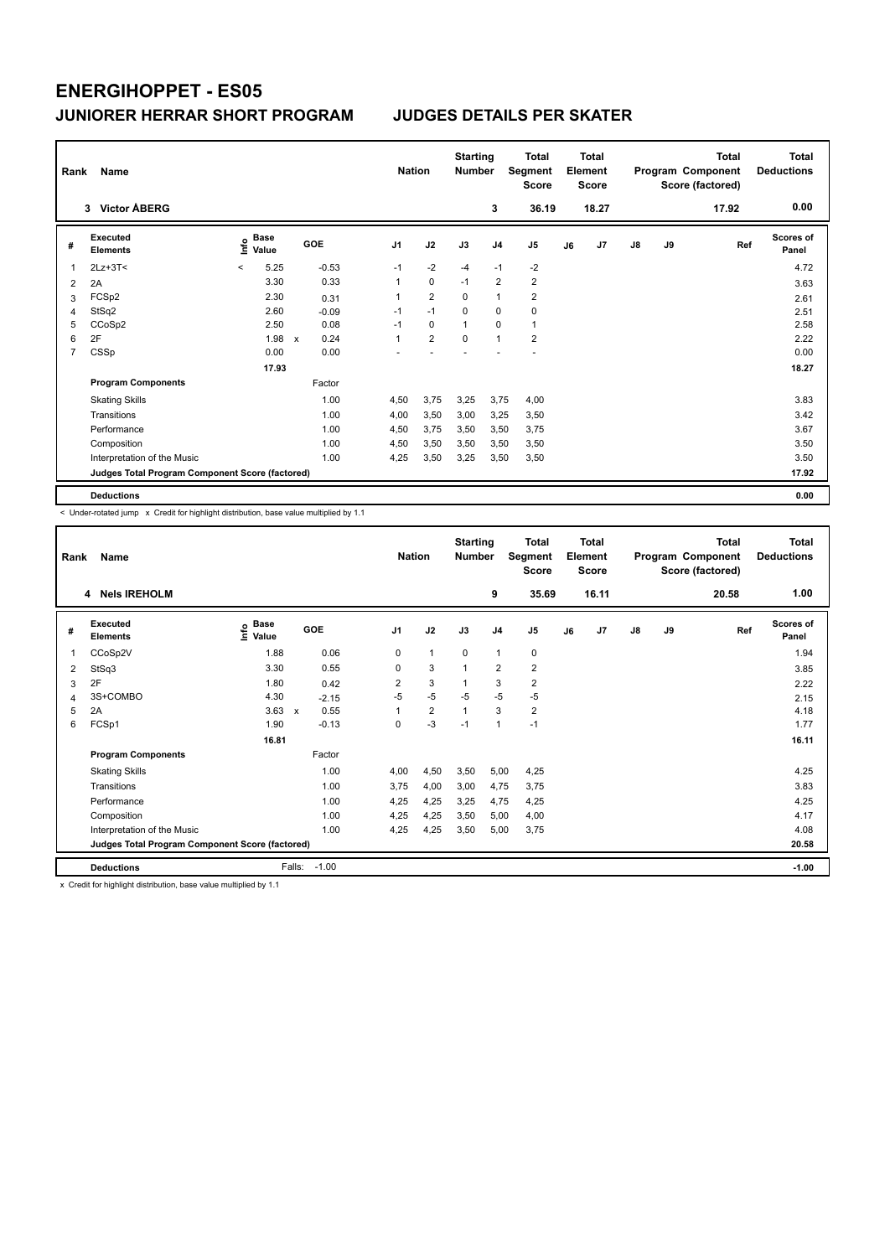| Rank | Name                                            |                                  |       |                      |      | <b>Nation</b>  | <b>Starting</b><br><b>Number</b> |                | <b>Total</b><br>Segment<br><b>Score</b> |    | <b>Total</b><br>Element<br><b>Score</b> |               |    | <b>Total</b><br>Program Component<br>Score (factored) | <b>Total</b><br><b>Deductions</b> |
|------|-------------------------------------------------|----------------------------------|-------|----------------------|------|----------------|----------------------------------|----------------|-----------------------------------------|----|-----------------------------------------|---------------|----|-------------------------------------------------------|-----------------------------------|
|      | 3 Victor ÅBERG                                  |                                  |       |                      |      |                |                                  | 3              | 36.19                                   |    | 18.27                                   |               |    | 17.92                                                 | 0.00                              |
| #    | <b>Executed</b><br><b>Elements</b>              | <b>Base</b><br>e Base<br>⊆ Value |       | GOE                  | J1   | J2             | J3                               | J <sub>4</sub> | J <sub>5</sub>                          | J6 | J7                                      | $\mathsf{J}8$ | J9 | Ref                                                   | <b>Scores of</b><br>Panel         |
| 1    | $2Lz+3T<$                                       | $\,<\,$                          | 5.25  | $-0.53$              | $-1$ | $-2$           | $-4$                             | $-1$           | $-2$                                    |    |                                         |               |    |                                                       | 4.72                              |
| 2    | 2A                                              |                                  | 3.30  | 0.33                 | 1    | $\mathbf 0$    | $-1$                             | $\overline{2}$ | $\overline{2}$                          |    |                                         |               |    |                                                       | 3.63                              |
| 3    | FCSp2                                           |                                  | 2.30  | 0.31                 | 1    | $\overline{2}$ | 0                                | $\overline{1}$ | $\overline{2}$                          |    |                                         |               |    |                                                       | 2.61                              |
| 4    | StSq2                                           |                                  | 2.60  | $-0.09$              | $-1$ | $-1$           | $\Omega$                         | $\mathbf 0$    | 0                                       |    |                                         |               |    |                                                       | 2.51                              |
| 5    | CCoSp2                                          |                                  | 2.50  | 0.08                 | $-1$ | 0              | 1                                | $\Omega$       | $\mathbf{1}$                            |    |                                         |               |    |                                                       | 2.58                              |
| 6    | 2F                                              |                                  | 1.98  | 0.24<br>$\mathsf{x}$ | 1    | $\overline{2}$ | 0                                | $\overline{1}$ | $\overline{2}$                          |    |                                         |               |    |                                                       | 2.22                              |
| 7    | CSSp                                            |                                  | 0.00  | 0.00                 |      |                |                                  |                |                                         |    |                                         |               |    |                                                       | 0.00                              |
|      |                                                 |                                  | 17.93 |                      |      |                |                                  |                |                                         |    |                                         |               |    |                                                       | 18.27                             |
|      | <b>Program Components</b>                       |                                  |       | Factor               |      |                |                                  |                |                                         |    |                                         |               |    |                                                       |                                   |
|      | <b>Skating Skills</b>                           |                                  |       | 1.00                 | 4,50 | 3,75           | 3,25                             | 3,75           | 4,00                                    |    |                                         |               |    |                                                       | 3.83                              |
|      | Transitions                                     |                                  |       | 1.00                 | 4,00 | 3,50           | 3,00                             | 3,25           | 3,50                                    |    |                                         |               |    |                                                       | 3.42                              |
|      | Performance                                     |                                  |       | 1.00                 | 4,50 | 3,75           | 3.50                             | 3.50           | 3,75                                    |    |                                         |               |    |                                                       | 3.67                              |
|      | Composition                                     |                                  |       | 1.00                 | 4,50 | 3,50           | 3,50                             | 3,50           | 3,50                                    |    |                                         |               |    |                                                       | 3.50                              |
|      | Interpretation of the Music                     |                                  |       | 1.00                 | 4,25 | 3,50           | 3,25                             | 3,50           | 3,50                                    |    |                                         |               |    |                                                       | 3.50                              |
|      | Judges Total Program Component Score (factored) |                                  |       |                      |      |                |                                  |                |                                         |    |                                         |               |    |                                                       | 17.92                             |
|      | <b>Deductions</b>                               |                                  |       |                      |      |                |                                  |                |                                         |    |                                         |               |    |                                                       | 0.00                              |

< Under-rotated jump x Credit for highlight distribution, base value multiplied by 1.1

| Rank | Name                                            |                              |                                   | <b>Nation</b>  |                | <b>Starting</b><br><b>Number</b> |                | <b>Total</b><br>Segment<br><b>Score</b> |    | <b>Total</b><br>Element<br>Score |               |    | <b>Total</b><br>Program Component<br>Score (factored) | <b>Total</b><br><b>Deductions</b> |
|------|-------------------------------------------------|------------------------------|-----------------------------------|----------------|----------------|----------------------------------|----------------|-----------------------------------------|----|----------------------------------|---------------|----|-------------------------------------------------------|-----------------------------------|
|      | 4 Nels IREHOLM                                  |                              |                                   |                |                |                                  | 9              | 35.69                                   |    | 16.11                            |               |    | 20.58                                                 | 1.00                              |
| #    | Executed<br><b>Elements</b>                     | <b>Base</b><br>١rfo<br>Value | GOE                               | J <sub>1</sub> | J2             | J3                               | J <sub>4</sub> | J <sub>5</sub>                          | J6 | J <sub>7</sub>                   | $\mathsf{J}8$ | J9 | Ref                                                   | Scores of<br>Panel                |
|      | CCoSp2V                                         | 1.88                         | 0.06                              | $\Omega$       | $\mathbf{1}$   | $\Omega$                         | $\mathbf{1}$   | $\mathbf 0$                             |    |                                  |               |    |                                                       | 1.94                              |
| 2    | StSq3                                           | 3.30                         | 0.55                              | 0              | 3              | $\overline{1}$                   | $\overline{2}$ | $\overline{\mathbf{c}}$                 |    |                                  |               |    |                                                       | 3.85                              |
| 3    | 2F                                              | 1.80                         | 0.42                              | 2              | 3              | $\mathbf{1}$                     | 3              | $\overline{\mathbf{c}}$                 |    |                                  |               |    |                                                       | 2.22                              |
| 4    | 3S+COMBO                                        | 4.30                         | $-2.15$                           | $-5$           | $-5$           | $-5$                             | $-5$           | $-5$                                    |    |                                  |               |    |                                                       | 2.15                              |
| 5    | 2A                                              | 3.63                         | 0.55<br>$\boldsymbol{\mathsf{x}}$ |                | $\overline{2}$ | $\mathbf{1}$                     | 3              | $\overline{\mathbf{c}}$                 |    |                                  |               |    |                                                       | 4.18                              |
| 6    | FCSp1                                           | 1.90                         | $-0.13$                           | 0              | $-3$           | $-1$                             | $\overline{1}$ | $-1$                                    |    |                                  |               |    |                                                       | 1.77                              |
|      |                                                 | 16.81                        |                                   |                |                |                                  |                |                                         |    |                                  |               |    |                                                       | 16.11                             |
|      | <b>Program Components</b>                       |                              | Factor                            |                |                |                                  |                |                                         |    |                                  |               |    |                                                       |                                   |
|      | <b>Skating Skills</b>                           |                              | 1.00                              | 4,00           | 4,50           | 3,50                             | 5,00           | 4,25                                    |    |                                  |               |    |                                                       | 4.25                              |
|      | Transitions                                     |                              | 1.00                              | 3.75           | 4,00           | 3,00                             | 4,75           | 3,75                                    |    |                                  |               |    |                                                       | 3.83                              |
|      | Performance                                     |                              | 1.00                              | 4,25           | 4,25           | 3,25                             | 4,75           | 4,25                                    |    |                                  |               |    |                                                       | 4.25                              |
|      | Composition                                     |                              | 1.00                              | 4,25           | 4,25           | 3,50                             | 5,00           | 4,00                                    |    |                                  |               |    |                                                       | 4.17                              |
|      | Interpretation of the Music                     |                              | 1.00                              | 4,25           | 4,25           | 3,50                             | 5,00           | 3,75                                    |    |                                  |               |    |                                                       | 4.08                              |
|      | Judges Total Program Component Score (factored) |                              |                                   |                |                |                                  |                |                                         |    |                                  |               |    |                                                       | 20.58                             |
|      | <b>Deductions</b>                               | Falls:                       | $-1.00$                           |                |                |                                  |                |                                         |    |                                  |               |    |                                                       | $-1.00$                           |

x Credit for highlight distribution, base value multiplied by 1.1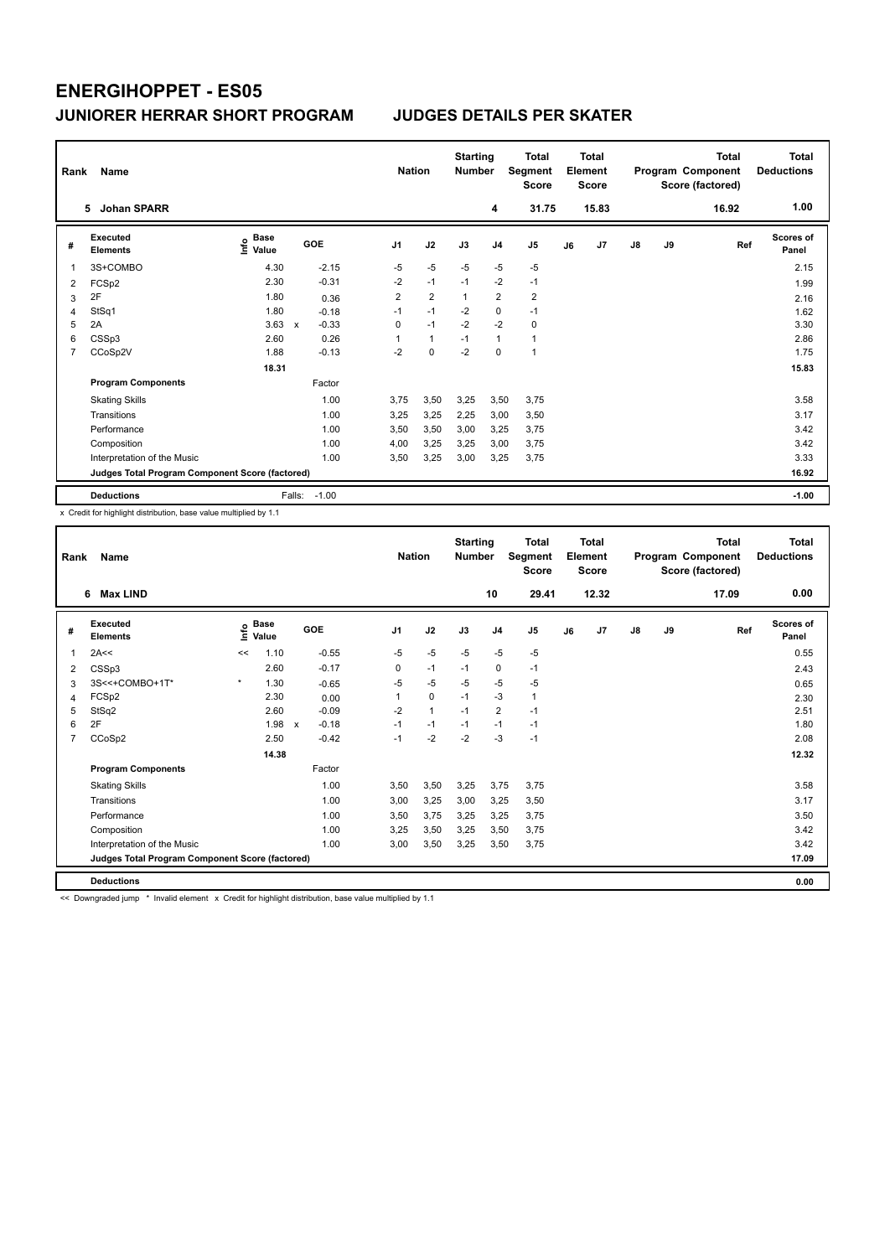| Rank | Name                                            |                                  |              |         |                | <b>Nation</b>  | <b>Starting</b><br><b>Number</b> |                | <b>Total</b><br>Segment<br><b>Score</b> |    | Total<br>Element<br><b>Score</b> |               |    | <b>Total</b><br>Program Component<br>Score (factored) | Total<br><b>Deductions</b> |
|------|-------------------------------------------------|----------------------------------|--------------|---------|----------------|----------------|----------------------------------|----------------|-----------------------------------------|----|----------------------------------|---------------|----|-------------------------------------------------------|----------------------------|
|      | <b>Johan SPARR</b><br>5.                        |                                  |              |         |                |                |                                  | 4              | 31.75                                   |    | 15.83                            |               |    | 16.92                                                 | 1.00                       |
| #    | <b>Executed</b><br><b>Elements</b>              | <b>Base</b><br>e Base<br>⊆ Value |              | GOE     | J <sub>1</sub> | J2             | J3                               | J <sub>4</sub> | J5                                      | J6 | J7                               | $\mathsf{J}8$ | J9 | Ref                                                   | Scores of<br>Panel         |
| 1    | 3S+COMBO                                        | 4.30                             |              | $-2.15$ | $-5$           | $-5$           | $-5$                             | $-5$           | $-5$                                    |    |                                  |               |    |                                                       | 2.15                       |
| 2    | FCSp2                                           | 2.30                             |              | $-0.31$ | $-2$           | $-1$           | $-1$                             | $-2$           | $-1$                                    |    |                                  |               |    |                                                       | 1.99                       |
| 3    | 2F                                              | 1.80                             |              | 0.36    | $\overline{2}$ | $\overline{2}$ | 1                                | $\overline{2}$ | $\overline{2}$                          |    |                                  |               |    |                                                       | 2.16                       |
| 4    | StSq1                                           | 1.80                             |              | $-0.18$ | $-1$           | $-1$           | $-2$                             | $\mathbf 0$    | $-1$                                    |    |                                  |               |    |                                                       | 1.62                       |
| 5    | 2A                                              | 3.63                             | $\mathsf{x}$ | $-0.33$ | 0              | $-1$           | $-2$                             | $-2$           | 0                                       |    |                                  |               |    |                                                       | 3.30                       |
| 6    | CSSp3                                           | 2.60                             |              | 0.26    | 1              | $\mathbf{1}$   | $-1$                             | $\mathbf{1}$   | 1                                       |    |                                  |               |    |                                                       | 2.86                       |
| 7    | CCoSp2V                                         | 1.88                             |              | $-0.13$ | $-2$           | $\mathbf 0$    | $-2$                             | 0              | $\mathbf{1}$                            |    |                                  |               |    |                                                       | 1.75                       |
|      |                                                 | 18.31                            |              |         |                |                |                                  |                |                                         |    |                                  |               |    |                                                       | 15.83                      |
|      | <b>Program Components</b>                       |                                  |              | Factor  |                |                |                                  |                |                                         |    |                                  |               |    |                                                       |                            |
|      | <b>Skating Skills</b>                           |                                  |              | 1.00    | 3,75           | 3,50           | 3,25                             | 3,50           | 3,75                                    |    |                                  |               |    |                                                       | 3.58                       |
|      | Transitions                                     |                                  |              | 1.00    | 3,25           | 3,25           | 2,25                             | 3,00           | 3,50                                    |    |                                  |               |    |                                                       | 3.17                       |
|      | Performance                                     |                                  |              | 1.00    | 3,50           | 3,50           | 3,00                             | 3,25           | 3.75                                    |    |                                  |               |    |                                                       | 3.42                       |
|      | Composition                                     |                                  |              | 1.00    | 4,00           | 3,25           | 3,25                             | 3,00           | 3,75                                    |    |                                  |               |    |                                                       | 3.42                       |
|      | Interpretation of the Music                     |                                  |              | 1.00    | 3,50           | 3,25           | 3,00                             | 3,25           | 3,75                                    |    |                                  |               |    |                                                       | 3.33                       |
|      | Judges Total Program Component Score (factored) |                                  |              |         |                |                |                                  |                |                                         |    |                                  |               |    |                                                       | 16.92                      |
|      | <b>Deductions</b>                               |                                  | Falls:       | $-1.00$ |                |                |                                  |                |                                         |    |                                  |               |    |                                                       | $-1.00$                    |

x Credit for highlight distribution, base value multiplied by 1.1

| Rank | Name                                            |         |                            |                         |                | <b>Nation</b> | <b>Starting</b><br><b>Number</b> |                | Total<br>Segment<br><b>Score</b> |    | <b>Total</b><br>Element<br><b>Score</b> |               |    | <b>Total</b><br>Program Component<br>Score (factored) | Total<br><b>Deductions</b> |
|------|-------------------------------------------------|---------|----------------------------|-------------------------|----------------|---------------|----------------------------------|----------------|----------------------------------|----|-----------------------------------------|---------------|----|-------------------------------------------------------|----------------------------|
|      | 6<br><b>Max LIND</b>                            |         |                            |                         |                |               |                                  | 10             | 29.41                            |    | 12.32                                   |               |    | 17.09                                                 | 0.00                       |
| #    | <b>Executed</b><br><b>Elements</b>              |         | $\sum_{k=1}^{\infty}$ Pase | GOE                     | J <sub>1</sub> | J2            | J3                               | J <sub>4</sub> | J5                               | J6 | J <sub>7</sub>                          | $\mathsf{J}8$ | J9 | Ref                                                   | <b>Scores of</b><br>Panel  |
| 1    | 2A<<                                            | <<      | 1.10                       | $-0.55$                 | $-5$           | $-5$          | $-5$                             | $-5$           | $-5$                             |    |                                         |               |    |                                                       | 0.55                       |
| 2    | CSSp3                                           |         | 2.60                       | $-0.17$                 | 0              | $-1$          | $-1$                             | 0              | $-1$                             |    |                                         |               |    |                                                       | 2.43                       |
| 3    | 3S<<+COMBO+1T*                                  | $\star$ | 1.30                       | $-0.65$                 | $-5$           | $-5$          | $-5$                             | $-5$           | $-5$                             |    |                                         |               |    |                                                       | 0.65                       |
| 4    | FCSp2                                           |         | 2.30                       | 0.00                    |                | $\mathbf 0$   | $-1$                             | $-3$           | 1                                |    |                                         |               |    |                                                       | 2.30                       |
| 5    | StSq2                                           |         | 2.60                       | $-0.09$                 | $-2$           | $\mathbf{1}$  | $-1$                             | $\overline{2}$ | $-1$                             |    |                                         |               |    |                                                       | 2.51                       |
| 6    | 2F                                              |         | 1.98                       | $-0.18$<br>$\mathsf{x}$ | $-1$           | $-1$          | $-1$                             | $-1$           | $-1$                             |    |                                         |               |    |                                                       | 1.80                       |
| 7    | CCoSp2                                          |         | 2.50                       | $-0.42$                 | $-1$           | $-2$          | $-2$                             | $-3$           | $-1$                             |    |                                         |               |    |                                                       | 2.08                       |
|      |                                                 |         | 14.38                      |                         |                |               |                                  |                |                                  |    |                                         |               |    |                                                       | 12.32                      |
|      | <b>Program Components</b>                       |         |                            | Factor                  |                |               |                                  |                |                                  |    |                                         |               |    |                                                       |                            |
|      | <b>Skating Skills</b>                           |         |                            | 1.00                    | 3,50           | 3,50          | 3,25                             | 3,75           | 3,75                             |    |                                         |               |    |                                                       | 3.58                       |
|      | Transitions                                     |         |                            | 1.00                    | 3,00           | 3,25          | 3,00                             | 3,25           | 3,50                             |    |                                         |               |    |                                                       | 3.17                       |
|      | Performance                                     |         |                            | 1.00                    | 3,50           | 3,75          | 3,25                             | 3,25           | 3,75                             |    |                                         |               |    |                                                       | 3.50                       |
|      | Composition                                     |         |                            | 1.00                    | 3,25           | 3,50          | 3,25                             | 3,50           | 3,75                             |    |                                         |               |    |                                                       | 3.42                       |
|      | Interpretation of the Music                     |         |                            | 1.00                    | 3,00           | 3,50          | 3,25                             | 3,50           | 3,75                             |    |                                         |               |    |                                                       | 3.42                       |
|      | Judges Total Program Component Score (factored) |         |                            |                         |                |               |                                  |                |                                  |    |                                         |               |    |                                                       | 17.09                      |
|      | <b>Deductions</b>                               |         |                            |                         |                |               |                                  |                |                                  |    |                                         |               |    |                                                       | 0.00                       |

<< Downgraded jump \* Invalid element x Credit for highlight distribution, base value multiplied by 1.1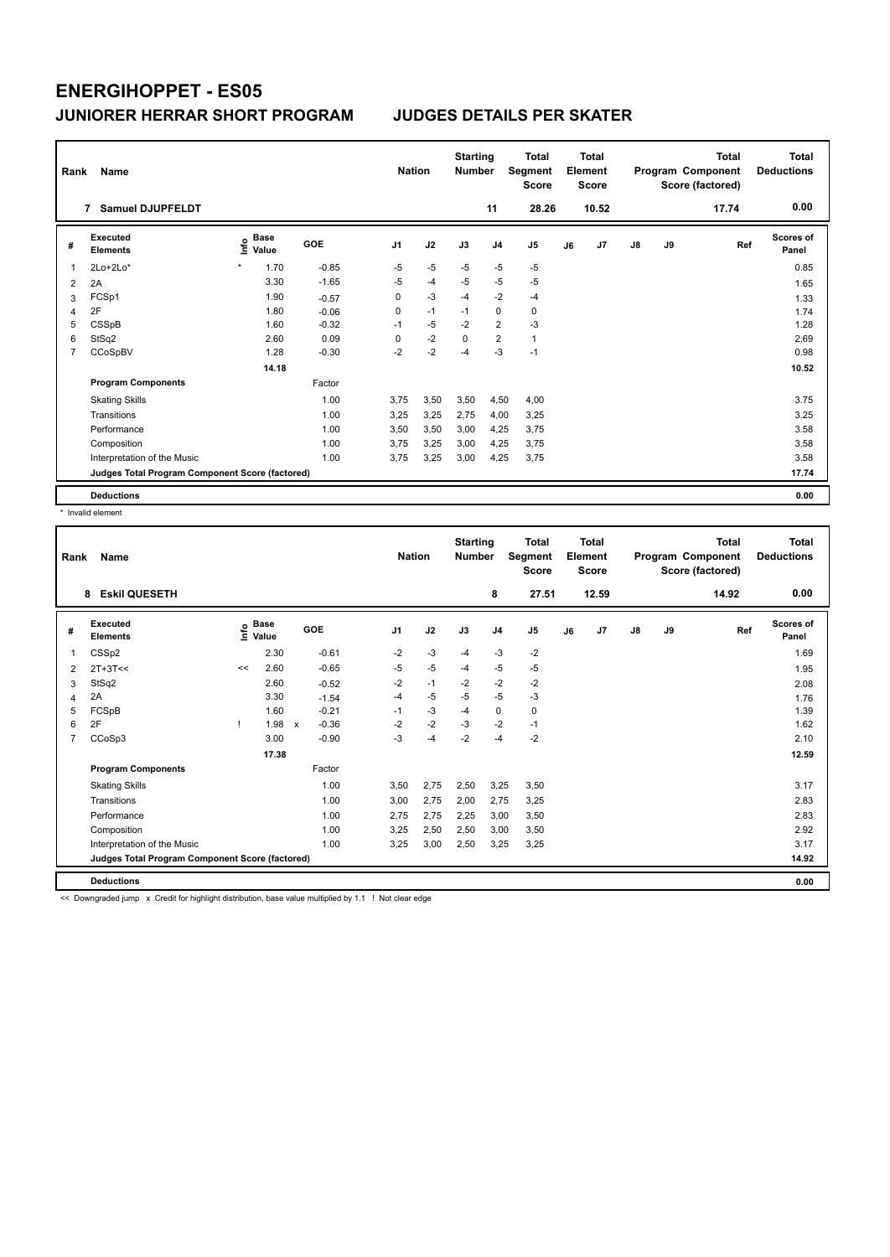| Rank | Name                                            |                              |            | <b>Nation</b>  |      | <b>Starting</b><br><b>Number</b> |                | <b>Total</b><br>Segment<br><b>Score</b> |    | <b>Total</b><br>Element<br><b>Score</b> |               |    | <b>Total</b><br>Program Component<br>Score (factored) | <b>Total</b><br><b>Deductions</b> |
|------|-------------------------------------------------|------------------------------|------------|----------------|------|----------------------------------|----------------|-----------------------------------------|----|-----------------------------------------|---------------|----|-------------------------------------------------------|-----------------------------------|
|      | Samuel DJUPFELDT<br>$\overline{7}$              |                              |            |                |      |                                  | 11             | 28.26                                   |    | 10.52                                   |               |    | 17.74                                                 | 0.00                              |
| #    | Executed<br><b>Elements</b>                     | <b>Base</b><br>lnfo<br>Value | <b>GOE</b> | J <sub>1</sub> | J2   | J3                               | J <sub>4</sub> | J <sub>5</sub>                          | J6 | J7                                      | $\mathsf{J}8$ | J9 | Ref                                                   | <b>Scores of</b><br>Panel         |
| 1    | $2Lo+2Lo*$                                      | 1.70<br>$\star$              | $-0.85$    | $-5$           | $-5$ | $-5$                             | $-5$           | $-5$                                    |    |                                         |               |    |                                                       | 0.85                              |
| 2    | 2A                                              | 3.30                         | $-1.65$    | $-5$           | $-4$ | $-5$                             | $-5$           | $-5$                                    |    |                                         |               |    |                                                       | 1.65                              |
| 3    | FCSp1                                           | 1.90                         | $-0.57$    | 0              | $-3$ | $-4$                             | $-2$           | $-4$                                    |    |                                         |               |    |                                                       | 1.33                              |
| 4    | 2F                                              | 1.80                         | $-0.06$    | 0              | $-1$ | $-1$                             | $\mathbf 0$    | $\mathbf 0$                             |    |                                         |               |    |                                                       | 1.74                              |
| 5    | CSSpB                                           | 1.60                         | $-0.32$    | $-1$           | $-5$ | $-2$                             | $\overline{2}$ | $-3$                                    |    |                                         |               |    |                                                       | 1.28                              |
| 6    | StSq2                                           | 2.60                         | 0.09       | 0              | $-2$ | $\mathbf 0$                      | $\overline{2}$ | $\mathbf{1}$                            |    |                                         |               |    |                                                       | 2.69                              |
| 7    | CCoSpBV                                         | 1.28                         | $-0.30$    | $-2$           | $-2$ | $-4$                             | $-3$           | $-1$                                    |    |                                         |               |    |                                                       | 0.98                              |
|      |                                                 | 14.18                        |            |                |      |                                  |                |                                         |    |                                         |               |    |                                                       | 10.52                             |
|      | <b>Program Components</b>                       |                              | Factor     |                |      |                                  |                |                                         |    |                                         |               |    |                                                       |                                   |
|      | <b>Skating Skills</b>                           |                              | 1.00       | 3.75           | 3,50 | 3,50                             | 4,50           | 4,00                                    |    |                                         |               |    |                                                       | 3.75                              |
|      | Transitions                                     |                              | 1.00       | 3,25           | 3,25 | 2,75                             | 4,00           | 3,25                                    |    |                                         |               |    |                                                       | 3.25                              |
|      | Performance                                     |                              | 1.00       | 3,50           | 3,50 | 3,00                             | 4,25           | 3,75                                    |    |                                         |               |    |                                                       | 3.58                              |
|      | Composition                                     |                              | 1.00       | 3.75           | 3,25 | 3,00                             | 4,25           | 3,75                                    |    |                                         |               |    |                                                       | 3.58                              |
|      | Interpretation of the Music                     |                              | 1.00       | 3.75           | 3,25 | 3,00                             | 4,25           | 3,75                                    |    |                                         |               |    |                                                       | 3.58                              |
|      | Judges Total Program Component Score (factored) |                              |            |                |      |                                  |                |                                         |    |                                         |               |    |                                                       | 17.74                             |
|      | <b>Deductions</b>                               |                              |            |                |      |                                  |                |                                         |    |                                         |               |    |                                                       | 0.00                              |

\* Invalid element

| Rank | Name                                            |    |                                  |                           |         | <b>Nation</b>  |      | <b>Starting</b><br><b>Number</b> |                | <b>Total</b><br>Segment<br><b>Score</b> |    | <b>Total</b><br>Element<br>Score |               |    | <b>Total</b><br>Program Component<br>Score (factored) | <b>Total</b><br><b>Deductions</b> |
|------|-------------------------------------------------|----|----------------------------------|---------------------------|---------|----------------|------|----------------------------------|----------------|-----------------------------------------|----|----------------------------------|---------------|----|-------------------------------------------------------|-----------------------------------|
|      | <b>Eskil QUESETH</b><br>8                       |    |                                  |                           |         |                |      |                                  | 8              | 27.51                                   |    | 12.59                            |               |    | 14.92                                                 | 0.00                              |
| #    | <b>Executed</b><br><b>Elements</b>              |    | <b>Base</b><br>o Base<br>⊆ Value | GOE                       |         | J <sub>1</sub> | J2   | J3                               | J <sub>4</sub> | J <sub>5</sub>                          | J6 | J7                               | $\mathsf{J}8$ | J9 | Ref                                                   | <b>Scores of</b><br>Panel         |
| 1    | CSSp2                                           |    | 2.30                             |                           | $-0.61$ | $-2$           | $-3$ | $-4$                             | $-3$           | $-2$                                    |    |                                  |               |    |                                                       | 1.69                              |
| 2    | $2T+3T<<$                                       | << | 2.60                             |                           | $-0.65$ | $-5$           | $-5$ | $-4$                             | $-5$           | $-5$                                    |    |                                  |               |    |                                                       | 1.95                              |
| 3    | StSq2                                           |    | 2.60                             |                           | $-0.52$ | $-2$           | $-1$ | $-2$                             | $-2$           | $-2$                                    |    |                                  |               |    |                                                       | 2.08                              |
| 4    | 2A                                              |    | 3.30                             |                           | $-1.54$ | $-4$           | $-5$ | $-5$                             | $-5$           | $-3$                                    |    |                                  |               |    |                                                       | 1.76                              |
| 5    | FCSpB                                           |    | 1.60                             |                           | $-0.21$ | $-1$           | $-3$ | $-4$                             | $\mathbf 0$    | 0                                       |    |                                  |               |    |                                                       | 1.39                              |
| 6    | 2F                                              |    | 1.98                             | $\boldsymbol{\mathsf{x}}$ | $-0.36$ | $-2$           | $-2$ | $-3$                             | $-2$           | $-1$                                    |    |                                  |               |    |                                                       | 1.62                              |
| 7    | CCoSp3                                          |    | 3.00                             |                           | $-0.90$ | $-3$           | $-4$ | $-2$                             | $-4$           | $-2$                                    |    |                                  |               |    |                                                       | 2.10                              |
|      |                                                 |    | 17.38                            |                           |         |                |      |                                  |                |                                         |    |                                  |               |    |                                                       | 12.59                             |
|      | <b>Program Components</b>                       |    |                                  |                           | Factor  |                |      |                                  |                |                                         |    |                                  |               |    |                                                       |                                   |
|      | <b>Skating Skills</b>                           |    |                                  |                           | 1.00    | 3,50           | 2,75 | 2,50                             | 3,25           | 3,50                                    |    |                                  |               |    |                                                       | 3.17                              |
|      | Transitions                                     |    |                                  |                           | 1.00    | 3,00           | 2,75 | 2,00                             | 2,75           | 3,25                                    |    |                                  |               |    |                                                       | 2.83                              |
|      | Performance                                     |    |                                  |                           | 1.00    | 2,75           | 2,75 | 2,25                             | 3,00           | 3,50                                    |    |                                  |               |    |                                                       | 2.83                              |
|      | Composition                                     |    |                                  |                           | 1.00    | 3,25           | 2,50 | 2,50                             | 3,00           | 3,50                                    |    |                                  |               |    |                                                       | 2.92                              |
|      | Interpretation of the Music                     |    |                                  |                           | 1.00    | 3,25           | 3,00 | 2,50                             | 3,25           | 3,25                                    |    |                                  |               |    |                                                       | 3.17                              |
|      | Judges Total Program Component Score (factored) |    |                                  |                           |         |                |      |                                  |                |                                         |    |                                  |               |    |                                                       | 14.92                             |
|      | <b>Deductions</b>                               |    |                                  |                           |         |                |      |                                  |                |                                         |    |                                  |               |    |                                                       | 0.00                              |

<< Downgraded jump x Credit for highlight distribution, base value multiplied by 1.1 ! Not clear edge